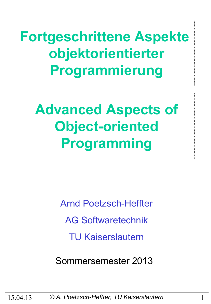**Fortgeschrittene Aspekte objektorientierter Programmierung**

**Advanced Aspects of Object-oriented Programming**

> Arnd Poetzsch-Heffter AG Softwaretechnik TU Kaiserslautern

Sommersemester 2013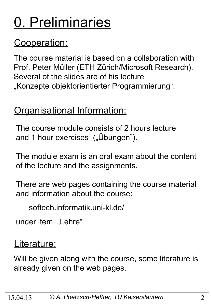# 0. Preliminaries

# Cooperation:

The course material is based on a collaboration with Prof. Peter Müller (ETH Zürich/Microsoft Research). Several of the slides are of his lecture "Konzepte objektorientierter Programmierung".

### Organisational Information:

The course module consists of 2 hours lecture and 1 hour exercises ("Übungen").

The module exam is an oral exam about the content of the lecture and the assignments.

There are web pages containing the course material and information about the course:

softech.informatik.uni-kl.de/

under item "Lehre"

### Literature:

Will be given along with the course, some literature is already given on the web pages.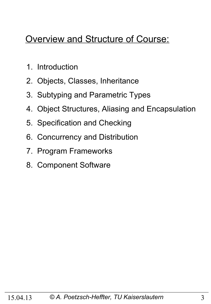### Overview and Structure of Course:

- 1. Introduction
- 2. Objects, Classes, Inheritance
- 3. Subtyping and Parametric Types
- 4. Object Structures, Aliasing and Encapsulation
- 5. Specification and Checking
- 6. Concurrency and Distribution
- 7. Program Frameworks
- 8. Component Software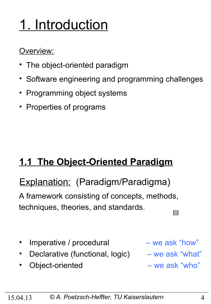# 1. Introduction

### Overview:

- The object-oriented paradigm
- Software engineering and programming challenges
- Programming object systems
- Properties of programs

# **1.1 The Object-Oriented Paradigm**

# Explanation: (Paradigm/Paradigma)

A framework consisting of concepts, methods, techniques, theories, and standards. 

- Imperative / procedural we ask "how"
- Declarative (functional, logic) we ask "what"
- Object-oriented we ask "who"

- 
-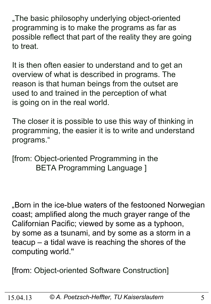"The basic philosophy underlying object-oriented programming is to make the programs as far as possible reflect that part of the reality they are going to treat.

It is then often easier to understand and to get an overview of what is described in programs. The reason is that human beings from the outset are used to and trained in the perception of what is going on in the real world.

The closer it is possible to use this way of thinking in programming, the easier it is to write and understand programs."

[from: Object-oriented Programming in the BETA Programming Language ]

"Born in the ice-blue waters of the festooned Norwegian coast; amplified along the much grayer range of the Californian Pacific; viewed by some as a typhoon, by some as a tsunami, and by some as a storm in a teacup – a tidal wave is reaching the shores of the computing world.''

[from: Object-oriented Software Construction]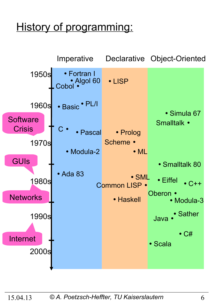# History of programming:

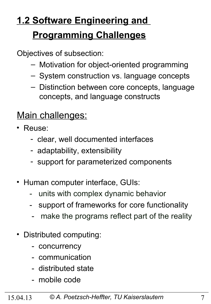# **1.2 Software Engineering and Programming Challenges**

Objectives of subsection:

- Motivation for object-oriented programming
- System construction vs. language concepts
- Distinction between core concepts, language concepts, and language constructs

### Main challenges:

- Reuse:
	- clear, well documented interfaces
	- adaptability, extensibility
	- support for parameterized components
- Human computer interface, GUIs:
	- units with complex dynamic behavior
	- support of frameworks for core functionality
	- make the programs reflect part of the reality
- Distributed computing:
	- concurrency
	- communication
	- distributed state
	- mobile code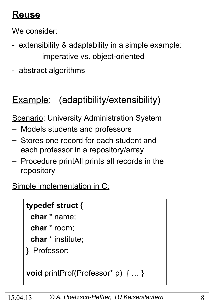# **Reuse**

We consider:

- extensibility & adaptability in a simple example: imperative vs. object-oriented
- abstract algorithms

# Example: (adaptibility/extensibility)

**Scenario: University Administration System** 

- Models students and professors
- Stores one record for each student and each professor in a repository/array
- Procedure printAll prints all records in the repository

Simple implementation in C:

### **typedef struct** {

**char** \* name;

**char** \* room;

**char** \* institute;

} Professor;

**void** printProf(Professor\* p) { … }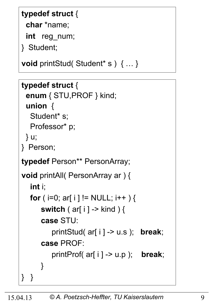### **typedef struct** {

**char** \*name;

**int** reg\_num;

} Student;

**void** printStud( Student\* s ) { … }

```
typedef struct {
```

```
 enum { STU,PROF } kind; 
 union {
```
Student\* s; Professor\* p;

```
 } u;
```

```
} Person;
```
**typedef** Person\*\* PersonArray;

```
void printAll( PersonArray ar ) {
   int i;
  for ( i=0; ar[ i ] != NULL; i++ ) {
       switch ( ar[ i ] -> kind ) {
       case STU: 
          printStud( ar[ i ] -> u.s ); break;
       case PROF: 
          printProf( ar[ i ] -> u.p ); break;
       }
} }
```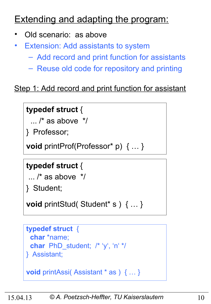### **Extending and adapting the program:**

- Old scenario: as above
- **Extension: Add assistants to system** 
	- Add record and print function for assistants
	- Reuse old code for repository and printing

### Step 1: Add record and print function for assistant

### **typedef struct** {

 $\ldots$  /\* as above  $\frac{*}{ }$ 

} Professor;

**void** printProf(Professor\* p) { … }

### **typedef struct** {

```
\ldots /* as above \frac{*}{ }
```
} Student;

**void** printStud( Student\* s ) { … }

```
typedef struct {
  char *name;
  char PhD_student; /* 'y', 'n' */
} Assistant;
```

```
void printAssi( Assistant * as ) { … }
```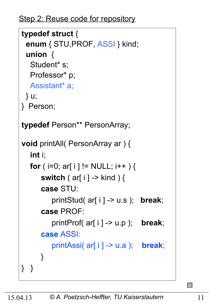Step 2: Reuse code for repository

```
typedef struct {
  enum { STU,PROF, ASSI } kind; 
  union { 
  Student* s;
   Professor* p;
   Assistant* a;
  } u;
} Person;
typedef Person** PersonArray;
void printAll( PersonArray ar ) {
   int i;
  for ( i=0; ar[ i ] != NULL; i++ ) {
       switch ( ar[ i ] -> kind ) {
       case STU: 
          printStud( ar[ i ] -> u.s ); break;
       case PROF: 
          printProf( ar[ i ] -> u.p ); break;
       case ASSI: 
          printAssi( ar[ i ] -> u.a ); break;
       }
} }
```
 $\Box$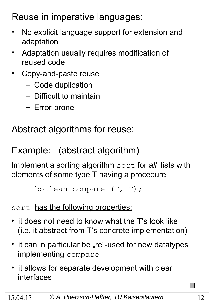### Reuse in imperative languages:

- No explicit language support for extension and adaptation
- Adaptation usually requires modification of reused code
- Copy-and-paste reuse
	- Code duplication
	- Difficult to maintain
	- Error-prone

### Abstract algorithms for reuse:

# Example: (abstract algorithm)

Implement a sorting algorithm sort for *all* lists with elements of some type T having a procedure

```
 boolean compare (T, T);
```
### sort has the following properties:

- it does not need to know what the T's look like (i.e. it abstract from T's concrete implementation)
- it can in particular be "re"-used for new datatypes implementing compare
- it allows for separate development with clear interfaces

 $\Box$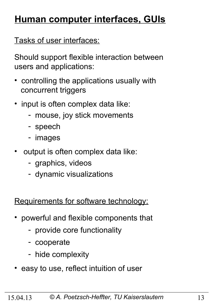# **Human computer interfaces, GUIs**

Tasks of user interfaces:

Should support flexible interaction between users and applications:

- controlling the applications usually with concurrent triggers
- input is often complex data like:
	- mouse, joy stick movements
	- speech
	- images
- output is often complex data like:
	- graphics, videos
	- dynamic visualizations

Requirements for software technology:

- powerful and flexible components that
	- provide core functionality
	- cooperate
	- hide complexity
- easy to use, reflect intuition of user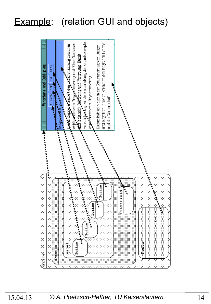### Example: (relation GUI and objects)

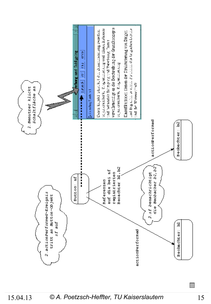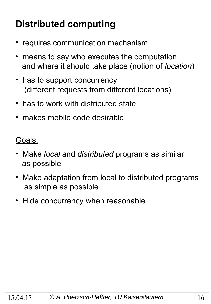# **Distributed computing**

- requires communication mechanism
- means to say who executes the computation and where it should take place (notion of *location*)
- has to support concurrency (different requests from different locations)
- has to work with distributed state
- makes mobile code desirable

Goals:

- Make *local* and *distributed* programs as similar as possible
- Make adaptation from local to distributed programs as simple as possible
- Hide concurrency when reasonable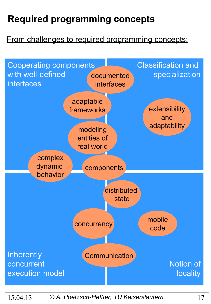# **Required programming concepts**

### From challenges to required programming concepts:



#### 15.04.13 *© A. Poetzsch-Heffter, TU Kaiserslautern* 17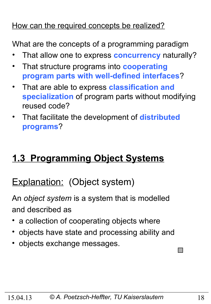### How can the required concepts be realized?

What are the concepts of a programming paradigm

- That allow one to express **concurrency** naturally?
- That structure programs into **cooperating program parts with well-defined interfaces**?
- That are able to express **classification and specialization** of program parts without modifying reused code?
- That facilitate the development of **distributed programs**?

# **1.3 Programming Object Systems**

### Explanation: (Object system)

An *object system* is a system that is modelled and described as

- a collection of cooperating objects where
- objects have state and processing ability and
- objects exchange messages.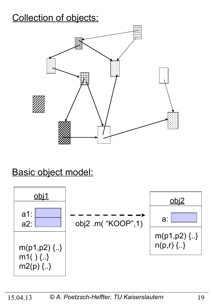# Collection of objects:



### Basic object model:

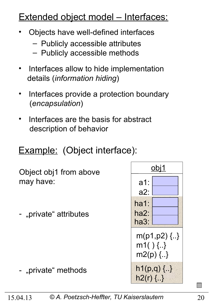### Extended object model – Interfaces:

- Objects have well-defined interfaces
	- Publicly accessible attributes
	- Publicly accessible methods
- Interfaces allow to hide implementation details (*information hiding*)
- Interfaces provide a protection boundary (*encapsulation*)

a1:

obj1

 $m(p1,p2)$   $\{..\}$ 

m1( ) {..}

m2(p) {..}

 $h1(p,q)$  {..}

 $h2(r)$  {..}

a2:

ha1:

ha2:

ha3:

Interfaces are the basis for abstract description of behavior

### Example: (Object interface):

| Object obj1 from above<br>may have: |  |
|-------------------------------------|--|
| - "private" attributes              |  |
|                                     |  |

- "private" methods

 $\Box$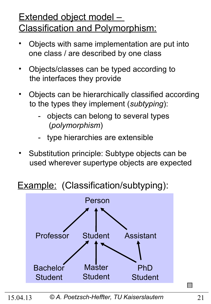### Extended object model – Classification and Polymorphism:

- Objects with same implementation are put into one class / are described by one class
- Objects/classes can be typed according to the interfaces they provide
- Objects can be hierarchically classified according to the types they implement (*subtyping*):
	- objects can belong to several types (*polymorphism*)
	- type hierarchies are extensible
- Substitution principle: Subtype objects can be used wherever supertype objects are expected

### Example: (Classification/subtyping):



 $\Box$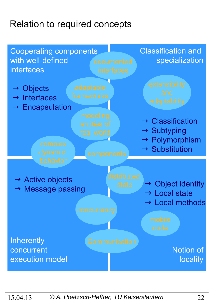# Relation to required concepts

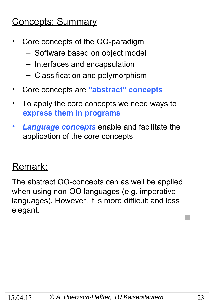### Concepts: Summary

- Core concepts of the OO-paradigm
	- Software based on object model
	- Interfaces and encapsulation
	- Classification and polymorphism
- Core concepts are **"abstract" concepts**
- To apply the core concepts we need ways to  **express them in programs**
- *Language concepts* enable and facilitate the application of the core concepts

### Remark:

The abstract OO-concepts can as well be applied when using non-OO languages (e.g. imperative languages). However, it is more difficult and less elegant.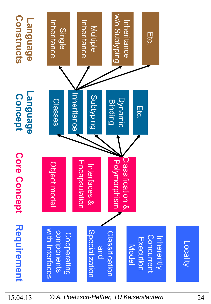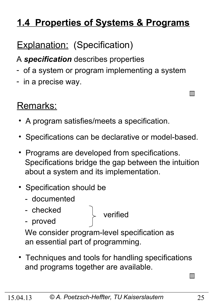# **1.4 Properties of Systems & Programs**

# **Explanation: (Specification)**

A *specification* describes properties

- of a system or program implementing a system
- in a precise way.

# Remarks:

- A program satisfies/meets a specification.
- Specifications can be declarative or model-based.
- Programs are developed from specifications. Specifications bridge the gap between the intuition about a system and its implementation.
- Specification should be
	- documented
	- checked
	- proved

verified

 We consider program-level specification as an essential part of programming.

• Techniques and tools for handling specifications and programs together are available.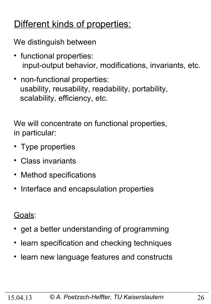### Different kinds of properties:

We distinguish between

- functional properties: input-output behavior, modifications, invariants, etc.
- non-functional properties: usability, reusability, readability, portability, scalability, efficiency, etc.

We will concentrate on functional properties, in particular:

- Type properties
- Class invariants
- Method specifications
- Interface and encapsulation properties

Goals:

- get a better understanding of programming
- learn specification and checking techniques
- learn new language features and constructs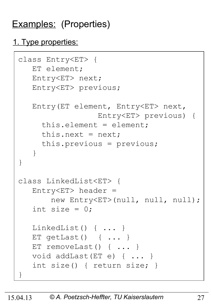# Examples: (Properties)

### 1. Type properties:

```
class Entry<ET> {
    ET element;
    Entry<ET> next;
    Entry<ET> previous;
    Entry(ET element, Entry<ET> next, 
                   Entry<ET> previous) {
      this.element = element;
     this.next = next; this.previous = previous;
    }
}
class LinkedList<ET> {
   Entropy < ET header =
        new Entry<ET>(null, null, null);
   int size = 0:
    LinkedList() { ... }
    ET getLast() { ... }
   ET removeLast() { ... }
    void addLast(ET e) { ... }
    int size() { return size; }
}
```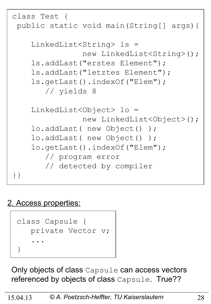```
class Test {
 public static void main(String[] args){
     LinkedList<String> ls = 
                 new LinkedList<String>();
     ls.addLast("erstes Element");
     ls.addLast("letztes Element");
     ls.getLast().indexOf("Elem"); 
        // yields 8
     LinkedList<Object> lo = 
                 new LinkedList<Object>();
     lo.addLast( new Object() );
     lo.addLast( new Object() );
     lo.getLast().indexOf("Elem"); 
        // program error
        // detected by compiler 
}}
```
### 2. Access properties:



Only objects of class Capsule can access vectors referenced by objects of class Capsule. True??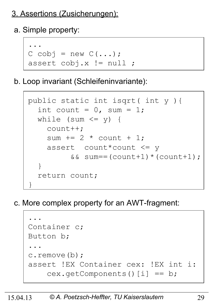### 3. Assertions (Zusicherungen):

a. Simple property:



b. Loop invariant (Schleifeninvariante):

```
 public static int isqrt( int y ){
       int count = 0, sum = 1;
       while (sum \leq y) {
           count++;
           sum += 2 * count + 1; assert count*count <= y 
                   &\&\; sum==(count+1)*(count+1);\begin{pmatrix} 1 & 1 \\ 1 & 1 \end{pmatrix} return count;
\begin{array}{c} \begin{array}{c} \end{array} \end{array}
```
c. More complex property for an AWT-fragment:

 ... Container c; Button b; ... c.remove(b); assert !EX Container cex: !EX int i: cex.getComponents()[i] == b;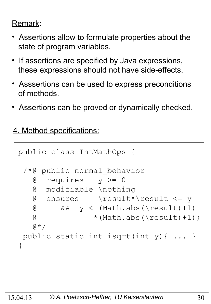### Remark:

- Assertions allow to formulate properties about the state of program variables.
- If assertions are specified by Java expressions, these expressions should not have side-effects.
- Asssertions can be used to express preconditions of methods.
- Assertions can be proved or dynamically checked.

4. Method specifications:

```
public class IntMathOps {
 /*@ public normal_behavior
    @ requires y >= 0
    @ modifiable \nothing
    @ ensures \result*\result <= y
   \alpha & \alpha y < (Math.abs(\result)+1)
   \textcircled{t} * (Math.abs(\result)+1);
   \theta \star /public static int isqrt(int y){ ... }
}
```